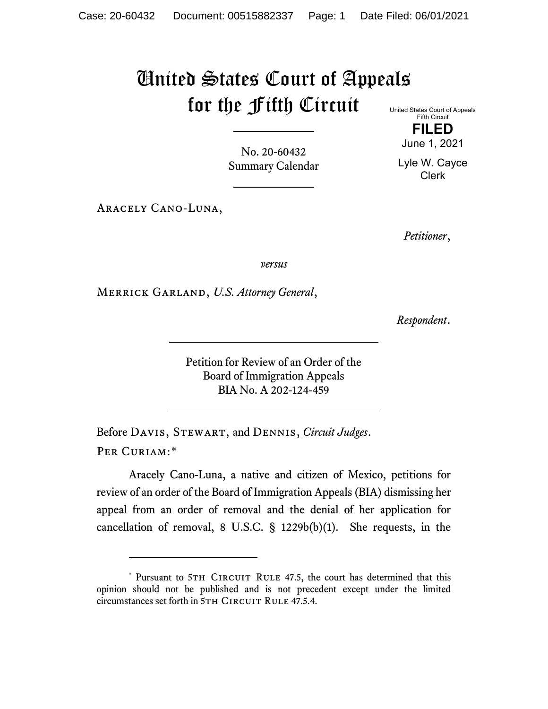## United States Court of Appeals for the Fifth Circuit

No. 20-60432 Summary Calendar

Aracely Cano-Luna,

United States Court of Appeals Fifth Circuit

> **FILED** June 1, 2021

Lyle W. Cayce Clerk

*Petitioner*,

*versus*

Merrick Garland, *U.S. Attorney General*,

*Respondent*.

Petition for Review of an Order of the Board of Immigration Appeals BIA No. A 202-124-459

Before Davis, Stewart, and Dennis, *Circuit Judges*. Per Curiam:[\\*](#page-0-0)

Aracely Cano-Luna, a native and citizen of Mexico, petitions for review of an order of the Board of Immigration Appeals (BIA) dismissing her appeal from an order of removal and the denial of her application for cancellation of removal, 8 U.S.C. § 1229b(b)(1). She requests, in the

<span id="page-0-0"></span><sup>\*</sup> Pursuant to 5TH CIRCUIT RULE 47.5, the court has determined that this opinion should not be published and is not precedent except under the limited circumstances set forth in 5TH CIRCUIT RULE 47.5.4.